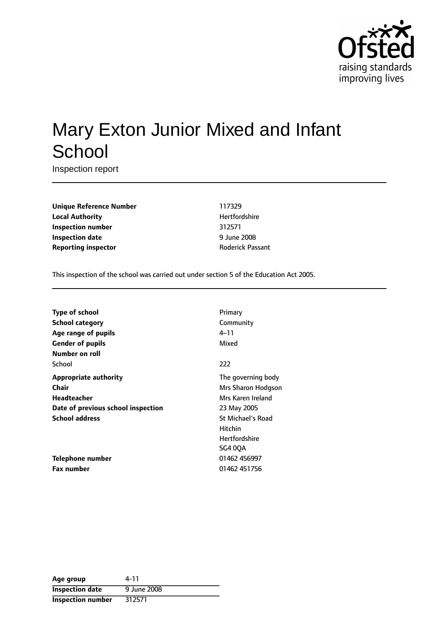

# Mary Exton Junior Mixed and Infant **School**

Inspection report

**Unique Reference Number** 117329 **Local Authority Material Authority Hertfordshire Inspection number** 312571 **Inspection date** 9 June 2008 **Reporting inspector and Roderick Passant** 

This inspection of the school was carried out under section 5 of the Education Act 2005.

| Type of school                     | Primary                  |
|------------------------------------|--------------------------|
| School category                    | Community                |
| Age range of pupils                | 4–11                     |
| <b>Gender of pupils</b>            | Mixed                    |
| Number on roll                     |                          |
| School                             | 222                      |
| <b>Appropriate authority</b>       | The governing body       |
| Chair                              | Mrs Sharon Hodgson       |
| <b>Headteacher</b>                 | Mrs Karen Ireland        |
| Date of previous school inspection | 23 May 2005              |
| <b>School address</b>              | <b>St Michael's Road</b> |
|                                    | <b>Hitchin</b>           |
|                                    | <b>Hertfordshire</b>     |
|                                    | <b>SG4 0OA</b>           |
| Telephone number                   | 01462 456997             |
| <b>Fax number</b>                  | 01462 451756             |

| Age group                | 4-11        |
|--------------------------|-------------|
| <b>Inspection date</b>   | 9 June 2008 |
| <b>Inspection number</b> | 312571      |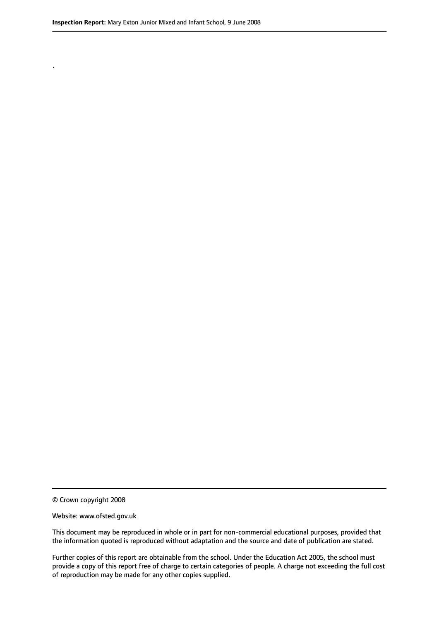.

© Crown copyright 2008

#### Website: www.ofsted.gov.uk

This document may be reproduced in whole or in part for non-commercial educational purposes, provided that the information quoted is reproduced without adaptation and the source and date of publication are stated.

Further copies of this report are obtainable from the school. Under the Education Act 2005, the school must provide a copy of this report free of charge to certain categories of people. A charge not exceeding the full cost of reproduction may be made for any other copies supplied.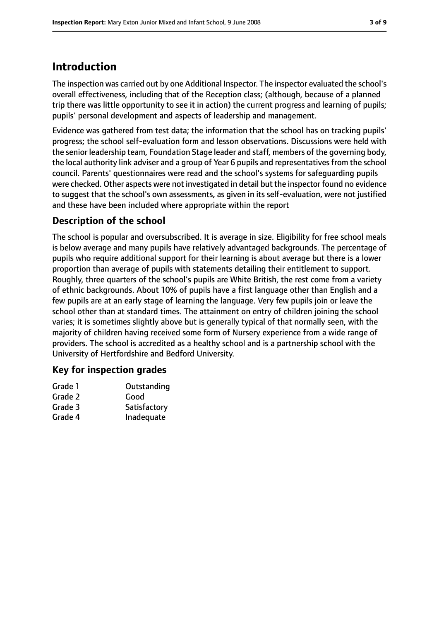# **Introduction**

The inspection was carried out by one Additional Inspector. The inspector evaluated the school's overall effectiveness, including that of the Reception class; (although, because of a planned trip there was little opportunity to see it in action) the current progress and learning of pupils; pupils' personal development and aspects of leadership and management.

Evidence was gathered from test data; the information that the school has on tracking pupils' progress; the school self-evaluation form and lesson observations. Discussions were held with the senior leadership team, Foundation Stage leader and staff, members of the governing body, the local authority link adviser and a group of Year 6 pupils and representatives from the school council. Parents' questionnaires were read and the school's systems for safeguarding pupils were checked. Other aspects were not investigated in detail but the inspector found no evidence to suggest that the school's own assessments, as given in its self-evaluation, were not justified and these have been included where appropriate within the report

# **Description of the school**

The school is popular and oversubscribed. It is average in size. Eligibility for free school meals is below average and many pupils have relatively advantaged backgrounds. The percentage of pupils who require additional support for their learning is about average but there is a lower proportion than average of pupils with statements detailing their entitlement to support. Roughly, three quarters of the school's pupils are White British, the rest come from a variety of ethnic backgrounds. About 10% of pupils have a first language other than English and a few pupils are at an early stage of learning the language. Very few pupils join or leave the school other than at standard times. The attainment on entry of children joining the school varies; it is sometimes slightly above but is generally typical of that normally seen, with the majority of children having received some form of Nursery experience from a wide range of providers. The school is accredited as a healthy school and is a partnership school with the University of Hertfordshire and Bedford University.

# **Key for inspection grades**

| Outstanding  |
|--------------|
| Good         |
| Satisfactory |
| Inadequate   |
|              |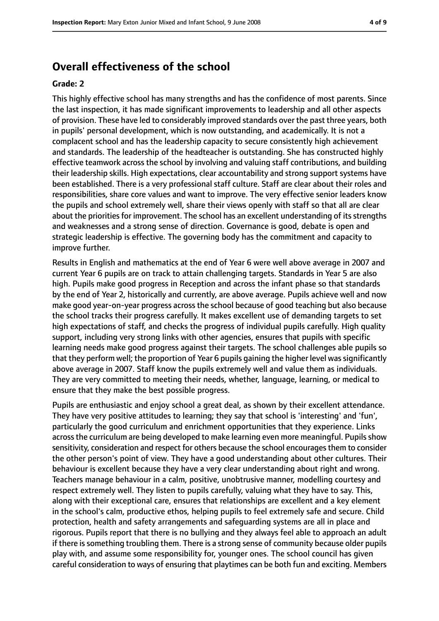# **Overall effectiveness of the school**

#### **Grade: 2**

This highly effective school has many strengths and has the confidence of most parents. Since the last inspection, it has made significant improvements to leadership and all other aspects of provision. These have led to considerably improved standards over the past three years, both in pupils' personal development, which is now outstanding, and academically. It is not a complacent school and has the leadership capacity to secure consistently high achievement and standards. The leadership of the headteacher is outstanding. She has constructed highly effective teamwork across the school by involving and valuing staff contributions, and building their leadership skills. High expectations, clear accountability and strong support systems have been established. There is a very professional staff culture. Staff are clear about their roles and responsibilities, share core values and want to improve. The very effective senior leaders know the pupils and school extremely well, share their views openly with staff so that all are clear about the priorities for improvement. The school has an excellent understanding of its strengths and weaknesses and a strong sense of direction. Governance is good, debate is open and strategic leadership is effective. The governing body has the commitment and capacity to improve further.

Results in English and mathematics at the end of Year 6 were well above average in 2007 and current Year 6 pupils are on track to attain challenging targets. Standards in Year 5 are also high. Pupils make good progress in Reception and across the infant phase so that standards by the end of Year 2, historically and currently, are above average. Pupils achieve well and now make good year-on-year progress across the school because of good teaching but also because the school tracks their progress carefully. It makes excellent use of demanding targets to set high expectations of staff, and checks the progress of individual pupils carefully. High quality support, including very strong links with other agencies, ensures that pupils with specific learning needs make good progress against their targets. The school challenges able pupils so that they perform well; the proportion of Year 6 pupils gaining the higher level was significantly above average in 2007. Staff know the pupils extremely well and value them as individuals. They are very committed to meeting their needs, whether, language, learning, or medical to ensure that they make the best possible progress.

Pupils are enthusiastic and enjoy school a great deal, as shown by their excellent attendance. They have very positive attitudes to learning; they say that school is 'interesting' and 'fun', particularly the good curriculum and enrichment opportunities that they experience. Links across the curriculum are being developed to make learning even more meaningful. Pupils show sensitivity, consideration and respect for others because the school encourages them to consider the other person's point of view. They have a good understanding about other cultures. Their behaviour is excellent because they have a very clear understanding about right and wrong. Teachers manage behaviour in a calm, positive, unobtrusive manner, modelling courtesy and respect extremely well. They listen to pupils carefully, valuing what they have to say. This, along with their exceptional care, ensures that relationships are excellent and a key element in the school's calm, productive ethos, helping pupils to feel extremely safe and secure. Child protection, health and safety arrangements and safeguarding systems are all in place and rigorous. Pupils report that there is no bullying and they always feel able to approach an adult if there is something troubling them. There is a strong sense of community because older pupils play with, and assume some responsibility for, younger ones. The school council has given careful consideration to ways of ensuring that playtimes can be both fun and exciting. Members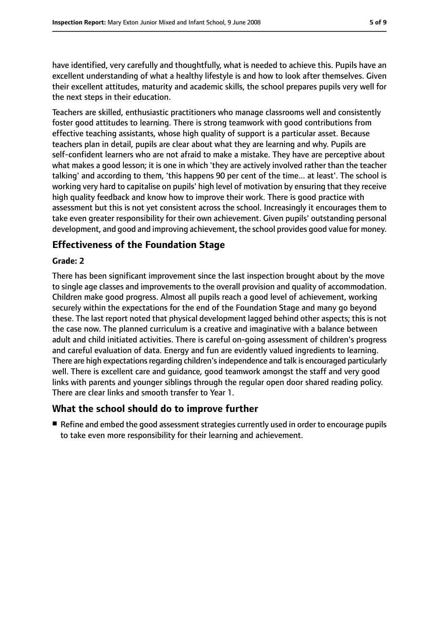have identified, very carefully and thoughtfully, what is needed to achieve this. Pupils have an excellent understanding of what a healthy lifestyle is and how to look after themselves. Given their excellent attitudes, maturity and academic skills, the school prepares pupils very well for the next steps in their education.

Teachers are skilled, enthusiastic practitioners who manage classrooms well and consistently foster good attitudes to learning. There is strong teamwork with good contributions from effective teaching assistants, whose high quality of support is a particular asset. Because teachers plan in detail, pupils are clear about what they are learning and why. Pupils are self-confident learners who are not afraid to make a mistake. They have are perceptive about what makes a good lesson; it is one in which 'they are actively involved rather than the teacher talking' and according to them, 'this happens 90 per cent of the time... at least'. The school is working very hard to capitalise on pupils' high level of motivation by ensuring that they receive high quality feedback and know how to improve their work. There is good practice with assessment but this is not yet consistent across the school. Increasingly it encourages them to take even greater responsibility for their own achievement. Given pupils' outstanding personal development, and good and improving achievement, the school provides good value for money.

# **Effectiveness of the Foundation Stage**

### **Grade: 2**

There has been significant improvement since the last inspection brought about by the move to single age classes and improvements to the overall provision and quality of accommodation. Children make good progress. Almost all pupils reach a good level of achievement, working securely within the expectations for the end of the Foundation Stage and many go beyond these. The last report noted that physical development lagged behind other aspects; this is not the case now. The planned curriculum is a creative and imaginative with a balance between adult and child initiated activities. There is careful on-going assessment of children's progress and careful evaluation of data. Energy and fun are evidently valued ingredients to learning. There are high expectations regarding children's independence and talk is encouraged particularly well. There is excellent care and guidance, good teamwork amongst the staff and very good links with parents and younger siblings through the regular open door shared reading policy. There are clear links and smooth transfer to Year 1.

# **What the school should do to improve further**

 $\blacksquare$  Refine and embed the good assessment strategies currently used in order to encourage pupils to take even more responsibility for their learning and achievement.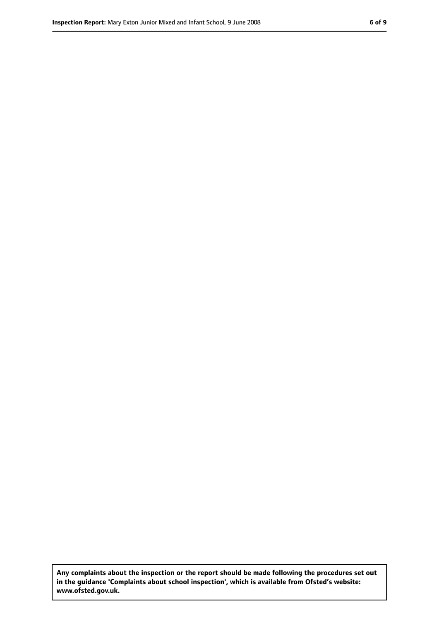**Any complaints about the inspection or the report should be made following the procedures set out in the guidance 'Complaints about school inspection', which is available from Ofsted's website: www.ofsted.gov.uk.**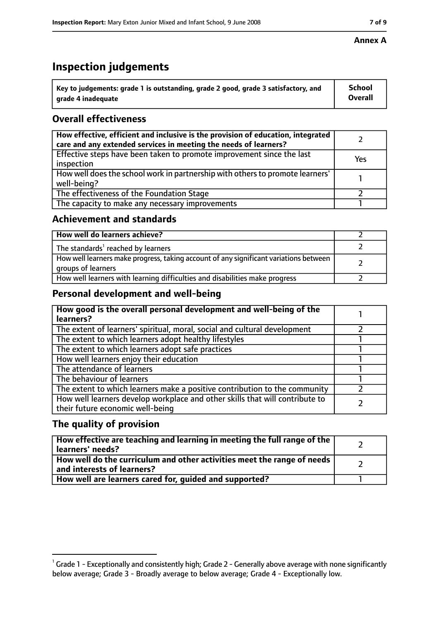# **Inspection judgements**

| $^{\backprime}$ Key to judgements: grade 1 is outstanding, grade 2 good, grade 3 satisfactory, and | School         |
|----------------------------------------------------------------------------------------------------|----------------|
| arade 4 inadequate                                                                                 | <b>Overall</b> |

# **Overall effectiveness**

| How effective, efficient and inclusive is the provision of education, integrated<br>care and any extended services in meeting the needs of learners? |     |
|------------------------------------------------------------------------------------------------------------------------------------------------------|-----|
| Effective steps have been taken to promote improvement since the last<br>inspection                                                                  | Yes |
| How well does the school work in partnership with others to promote learners'<br>well-being?                                                         |     |
| The effectiveness of the Foundation Stage                                                                                                            |     |
| The capacity to make any necessary improvements                                                                                                      |     |

### **Achievement and standards**

| How well do learners achieve?                                                                               |  |
|-------------------------------------------------------------------------------------------------------------|--|
| The standards <sup>1</sup> reached by learners                                                              |  |
| How well learners make progress, taking account of any significant variations between<br>groups of learners |  |
| How well learners with learning difficulties and disabilities make progress                                 |  |

# **Personal development and well-being**

| How good is the overall personal development and well-being of the<br>learners?                                  |  |
|------------------------------------------------------------------------------------------------------------------|--|
| The extent of learners' spiritual, moral, social and cultural development                                        |  |
| The extent to which learners adopt healthy lifestyles                                                            |  |
| The extent to which learners adopt safe practices                                                                |  |
| How well learners enjoy their education                                                                          |  |
| The attendance of learners                                                                                       |  |
| The behaviour of learners                                                                                        |  |
| The extent to which learners make a positive contribution to the community                                       |  |
| How well learners develop workplace and other skills that will contribute to<br>their future economic well-being |  |

# **The quality of provision**

| How effective are teaching and learning in meeting the full range of the<br>learners' needs?          |  |
|-------------------------------------------------------------------------------------------------------|--|
| How well do the curriculum and other activities meet the range of needs<br>and interests of learners? |  |
| How well are learners cared for, quided and supported?                                                |  |

 $^1$  Grade 1 - Exceptionally and consistently high; Grade 2 - Generally above average with none significantly below average; Grade 3 - Broadly average to below average; Grade 4 - Exceptionally low.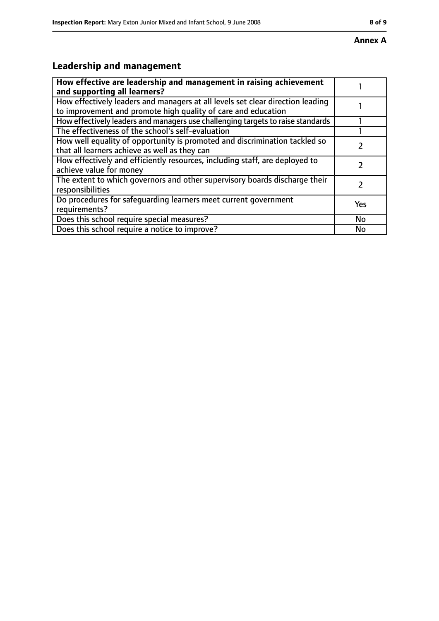# **Leadership and management**

| How effective are leadership and management in raising achievement<br>and supporting all learners?                                              |     |
|-------------------------------------------------------------------------------------------------------------------------------------------------|-----|
| How effectively leaders and managers at all levels set clear direction leading<br>to improvement and promote high quality of care and education |     |
| How effectively leaders and managers use challenging targets to raise standards                                                                 |     |
| The effectiveness of the school's self-evaluation                                                                                               |     |
| How well equality of opportunity is promoted and discrimination tackled so<br>that all learners achieve as well as they can                     |     |
| How effectively and efficiently resources, including staff, are deployed to<br>achieve value for money                                          |     |
| The extent to which governors and other supervisory boards discharge their<br>responsibilities                                                  |     |
| Do procedures for safequarding learners meet current government<br>requirements?                                                                | Yes |
| Does this school require special measures?                                                                                                      | No  |
| Does this school require a notice to improve?                                                                                                   | No  |